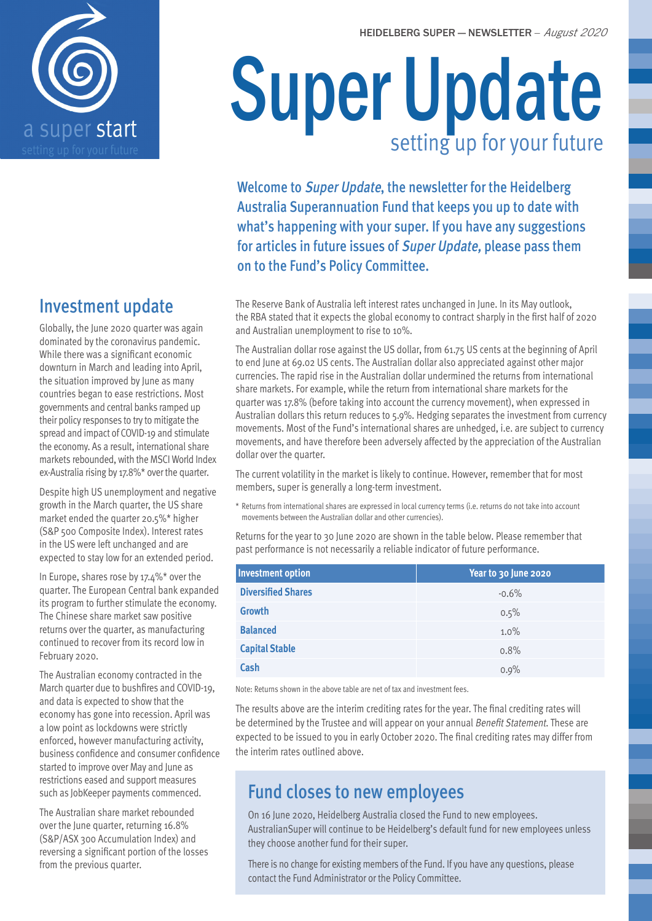



## Investment update

Globally, the June 2020 quarter was again dominated by the coronavirus pandemic. While there was a significant economic downturn in March and leading into April, the situation improved by June as many countries began to ease restrictions. Most governments and central banks ramped up their policy responses to try to mitigate the spread and impact of COVID-19 and stimulate the economy. As a result, international share markets rebounded, with the MSCI World Index ex-Australia rising by 17.8%\* over the quarter.

Despite high US unemployment and negative growth in the March quarter, the US share market ended the quarter 20.5%\* higher (S&P 500 Composite Index). Interest rates in the US were left unchanged and are expected to stay low for an extended period.

In Europe, shares rose by 17.4%\* over the quarter. The European Central bank expanded its program to further stimulate the economy. The Chinese share market saw positive returns over the quarter, as manufacturing continued to recover from its record low in February 2020.

The Australian economy contracted in the March quarter due to bushfires and COVID-19, and data is expected to show that the economy has gone into recession. April was a low point as lockdowns were strictly enforced, however manufacturing activity, business confidence and consumer confidence started to improve over May and June as restrictions eased and support measures such as JobKeeper payments commenced.

The Australian share market rebounded over the June quarter, returning 16.8% (S&P/ASX 300 Accumulation Index) and reversing a significant portion of the losses from the previous quarter.

# Super Update setting up for your future

Welcome to Super Update, the newsletter for the Heidelberg Australia Superannuation Fund that keeps you up to date with what's happening with your super. If you have any suggestions for articles in future issues of Super Update, please pass them on to the Fund's Policy Committee.

The Reserve Bank of Australia left interest rates unchanged in June. In its May outlook, the RBA stated that it expects the global economy to contract sharply in the first half of 2020 and Australian unemployment to rise to 10%.

The Australian dollar rose against the US dollar, from 61.75 US cents at the beginning of April to end June at 69.02 US cents. The Australian dollar also appreciated against other major currencies. The rapid rise in the Australian dollar undermined the returns from international share markets. For example, while the return from international share markets for the quarter was 17.8% (before taking into account the currency movement), when expressed in Australian dollars this return reduces to 5.9%. Hedging separates the investment from currency movements. Most of the Fund's international shares are unhedged, i.e. are subject to currency movements, and have therefore been adversely affected by the appreciation of the Australian dollar over the quarter.

The current volatility in the market is likely to continue. However, remember that for most members, super is generally a long-term investment.

\* Returns from international shares are expressed in local currency terms (i.e. returns do not take into account movements between the Australian dollar and other currencies).

Returns for the year to 30 June 2020 are shown in the table below. Please remember that past performance is not necessarily a reliable indicator of future performance.

| <b>Investment option</b>  | Year to 30 June 2020 |
|---------------------------|----------------------|
| <b>Diversified Shares</b> | $-0.6%$              |
| Growth                    | 0.5%                 |
| <b>Balanced</b>           | 1.0%                 |
| <b>Capital Stable</b>     | 0.8%                 |
| Cash                      | 0.9%                 |

Note: Returns shown in the above table are net of tax and investment fees.

The results above are the interim crediting rates for the year. The final crediting rates will be determined by the Trustee and will appear on your annual Benefit Statement. These are expected to be issued to you in early October 2020. The final crediting rates may differ from the interim rates outlined above.

## Fund closes to new employees

On 16 June 2020, Heidelberg Australia closed the Fund to new employees. AustralianSuper will continue to be Heidelberg's default fund for new employees unless they choose another fund for their super.

There is no change for existing members of the Fund. If you have any questions, please contact the Fund Administrator or the Policy Committee.